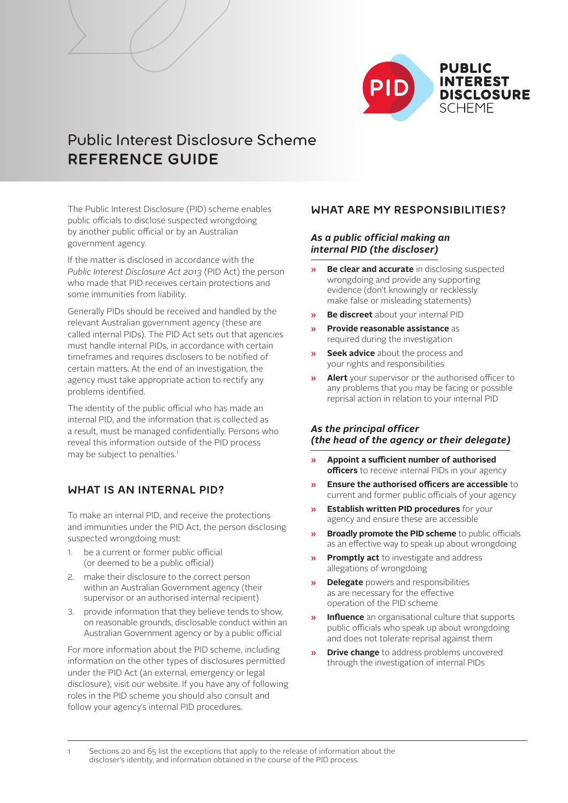

# Public Interest Disclosure Scheme **REFERENCE GUIDE**

The Public Interest Disclosure (PID) scheme enables public officials to disclose suspected wrongdoing by another public official or by an Australian government agency.

If the matter is disclosed in accordance with the *[Public Interest Disclosure Act 2013](http://www.comlaw.gov.au/Details/C2013A00133)* (PID Act) the person who made that PID receives certain protections and some immunities from liability.

Generally PIDs should be received and handled by the relevant Australian government agency (these are called internal PIDs). The PID Act sets out that agencies must handle internal PIDs, in accordance with certain timeframes and requires disclosers to be notified of certain matters. At the end of an investigation, the agency must take appropriate action to rectify any problems identified.

The identity of the public official who has made an internal PID, and the information that is collected as a result, must be managed confidentially. Persons who reveal this information outside of the PID process may be subject to penalties.<sup>1</sup>

### **WHAT IS AN INTERNAL PID?**

To make an internal PID, and receive the protections and immunities under the PID Act, the person disclosing suspected wrongdoing must:

- 1. be a current or former public official (or deemed to be a public official)
- 2. make their disclosure to the correct person within an Australian Government agency (their supervisor or an authorised internal recipient)
- 3. provide information that they believe tends to show, on reasonable grounds, disclosable conduct within an Australian Government agency or by a public official

For more information about the PID scheme, including information on the other types of disclosures permitted under the PID Act (an external, emergency or legal disclosure), visit [our website.](http://www.ombudsman.gov.au/pages/pid/) If you have any of following roles in the PID scheme you should also consult and follow your agency's internal PID procedures.

### **WHAT ARE MY RESPONSIBILITIES?**

### *As a public official making an internal PID (the discloser)*

- **» Be clear and accurate** in disclosing suspected wrongdoing and provide any supporting evidence (don't knowingly or recklessly make false or misleading statements)
- **» Be discreet** about your internal PID
- **» Provide reasonable assistance** as required during the investigation
- **» Seek advice** about the process and your rights and responsibilities
- **» Alert** your supervisor or the authorised officer to any problems that you may be facing or possible reprisal action in relation to your internal PID

#### *As the principal officer (the head of the agency or their delegate)*

- **» Appoint a sufficient number of authorised officers** to receive internal PIDs in your agency
- **» Ensure the authorised officers are accessible** to current and former public officials of your agency
- **» Establish written PID procedures** for your agency and ensure these are accessible
- **» Broadly promote the PID scheme** to public officials as an effective way to speak up about wrongdoing
- **» Promptly act** to investigate and address allegations of wrongdoing
- **» Delegate** powers and responsibilities as are necessary for the effective operation of the PID scheme
- **» Influence** an organisational culture that supports public officials who speak up about wrongdoing and does not tolerate reprisal against them
- **» Drive change** to address problems uncovered through the investigation of internal PIDs

Sections 20 and 65 list the exceptions that apply to the release of information about the discloser's identity, and information obtained in the course of the PID process.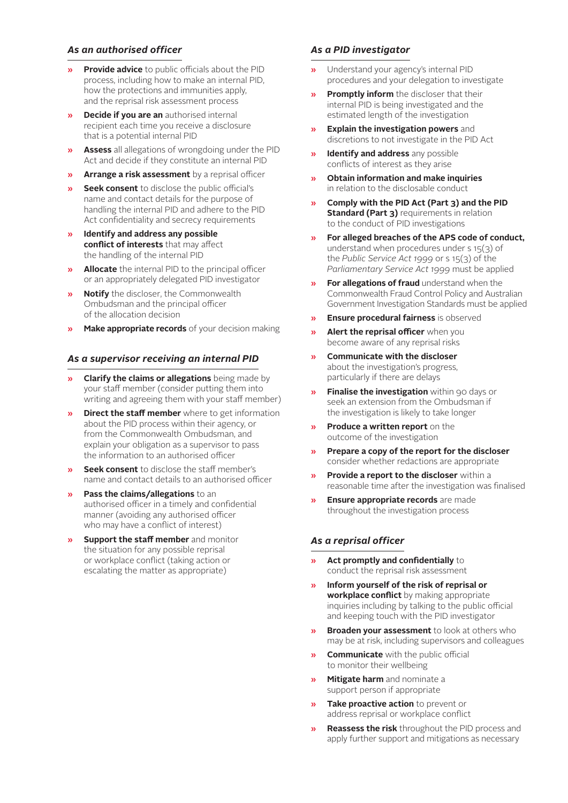### *As an authorised officer*

- **» Provide advice** to public officials about the PID process, including how to make an internal PID, how the protections and immunities apply, and the reprisal risk assessment process
- **» Decide if you are an** authorised internal recipient each time you receive a disclosure that is a potential internal PID
- **» Assess** all allegations of wrongdoing under the PID Act and decide if they constitute an internal PID
- **» Arrange a risk assessment** by a reprisal officer
- **» Seek consent** to disclose the public official's name and contact details for the purpose of handling the internal PID and adhere to the PID Act confidentiality and secrecy requirements
- **» Identify and address any possible conflict of interests** that may affect the handling of the internal PID
- **» Allocate** the internal PID to the principal officer or an appropriately delegated PID investigator
- **» Notify** the discloser, the Commonwealth Ombudsman and the principal officer of the allocation decision
- **» Make appropriate records** of your decision making

#### *As a supervisor receiving an internal PID*

- **» Clarify the claims or allegations** being made by your staff member (consider putting them into writing and agreeing them with your staff member)
- **» Direct the staff member** where to get information about the PID process within their agency, or from the Commonwealth Ombudsman, and explain your obligation as a supervisor to pass the information to an authorised officer
- **» Seek consent** to disclose the staff member's name and contact details to an authorised officer
- **» Pass the claims/allegations** to an authorised officer in a timely and confidential manner (avoiding any authorised officer who may have a conflict of interest)
- **» Support the staff member** and monitor the situation for any possible reprisal or workplace conflict (taking action or escalating the matter as appropriate)

#### *As a PID investigator*

- **»** Understand your agency's internal PID procedures and your delegation to investigate
- **» Promptly inform** the discloser that their internal PID is being investigated and the estimated length of the investigation
- **» Explain the investigation powers** and discretions to not investigate in the PID Act
- **» Identify and address** any possible conflicts of interest as they arise
- **» Obtain information and make inquiries** in relation to the disclosable conduct
- **» Comply with the PID Act (Part 3) and the PID Standard (Part 3)** requirements in relation to the conduct of PID investigations
- **» For alleged breaches of the APS code of conduct,**  understand when procedures under s 15(3) of the *Public Service Act 1999* or s 15(3) of the *Parliamentary Service Act 1999* must be applied
- **» For allegations of fraud** understand when the Commonwealth Fraud Control Policy and Australian Government Investigation Standards must be applied
- **» Ensure procedural fairness** is observed
- **» Alert the reprisal officer** when you become aware of any reprisal risks
- **» Communicate with the discloser**  about the investigation's progress, particularly if there are delays
- **» Finalise the investigation** within 90 days or seek an extension from the Ombudsman if the investigation is likely to take longer
- **» Produce a written report** on the outcome of the investigation
- **» Prepare a copy of the report for the discloser**  consider whether redactions are appropriate
- **» Provide a report to the discloser** within a reasonable time after the investigation was finalised
- **» Ensure appropriate records** are made throughout the investigation process

#### *As a reprisal officer*

- **» Act promptly and confidentially** to conduct the reprisal risk assessment
- **» Inform yourself of the risk of reprisal or workplace conflict** by making appropriate inquiries including by talking to the public official and keeping touch with the PID investigator
- **» Broaden your assessment** to look at others who may be at risk, including supervisors and colleagues
- **» Communicate** with the public official to monitor their wellbeing
- **» Mitigate harm** and nominate a support person if appropriate
- **» Take proactive action** to prevent or address reprisal or workplace conflict
- **» Reassess the risk** throughout the PID process and apply further support and mitigations as necessary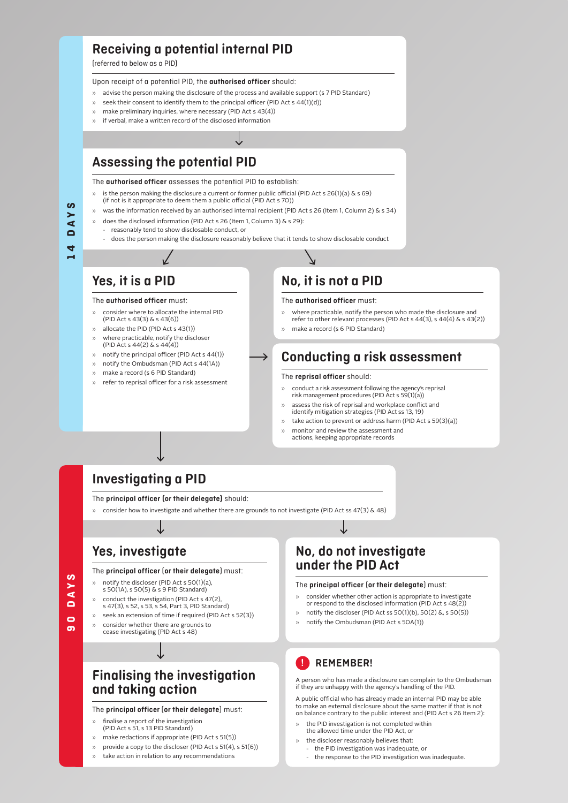# **Receiving a potential internal PID**

(referred to below as a PID)

#### Upon receipt of a potential PID, the **authorised officer** should:

- » advise the person making the disclosure of the process and available support (s 7 PID Standard)
- seek their consent to identify them to the principal officer (PID Act s  $44(1)(d)$ )
- make preliminary inquiries, where necessary (PID Act s 43(4))
- » if verbal, make a written record of the disclosed information

# **Assessing the potential PID**

The **authorised officer** assesses the potential PID to establish:

- is the person making the disclosure a current or former public official (PID Act s 26(1)(a)  $\&$  s 69) (if not is it appropriate to deem them a public official (PID Act s 70))
- » was the information received by an authorised internal recipient (PID Act s 26 (Item 1, Column 2) & s 34)
- » does the disclosed information (PID Act s 26 (Item 1, Column 3) & s 29):
- reasonably tend to show disclosable conduct, or
- does the person making the disclosure reasonably believe that it tends to show disclosable conduct

→

# **Yes, it is a PID**

#### The **authorised officer** must:

- » consider where to allocate the internal PID (PID Act s 43(3) & s 43(6))
- allocate the PID (PID Act s 43(1))
- » where practicable, notify the discloser (PID Act s 44(2) & s 44(4))
- $\gg$  notify the principal officer (PID Act s 44(1))
- » notify the Ombudsman (PID Act s 44(1A))
- make a record (s 6 PID Standard)
- refer to reprisal officer for a risk assessment

# **No, it is not a PID**

#### The **authorised officer** must:

- » where practicable, notify the person who made the disclosure and
- refer to other relevant processes (PID Act s 44(3), s 44(4) & s 43(2))
- make a record (s 6 PID Standard)

# **Conducting a risk assessment**

#### The **reprisal officer** should:

- » conduct a risk assessment following the agency's reprisal risk management procedures (PID Act s 59(1)(a))
- assess the risk of reprisal and workplace conflict and identify mitigation strategies (PID Act ss 13, 19)
- » take action to prevent or address harm (PID Act s 59(3)(a))
- » monitor and review the assessment and
- actions, keeping appropriate records

# **Investigating a PID**

The **principal officer (or their delegate)** should:

» consider how to investigate and whether there are grounds to not investigate (PID Act ss 47(3) & 48)

# **Yes, investigate**

#### The **principal officer** (**or their delegate**) must:

- » notify the discloser (PID Act s 50(1)(a),
- s 50(1A), s 50(5) & s 9 PID Standard)
- » conduct the investigation (PID Act s 47(2),
- s 47(3), s 52, s 53, s 54, Part 3, PID Standard)
- seek an extension of time if required (PID Act s 52(3)) » consider whether there are grounds to
- cease investigating (PID Act s 48)

**90 DAYS**

S  $\blacktriangleleft$  $\blacksquare$  $\bullet$ ത

# **Finalising the investigation and taking action**

#### The **principal officer** (**or their delegate**) must:

- finalise a report of the investigation
- (PID Act s 51, s 13 PID Standard)
- » make redactions if appropriate (PID Act s 51(5))
- $\gg$  provide a copy to the discloser (PID Act s 51(4), s 51(6))
- » take action in relation to any recommendations

# **No, do not investigate under the PID Act**

#### The **principal officer** (**or their delegate**) must:

- consider whether other action is appropriate to investigate or respond to the disclosed information (PID Act s 48(2))
- » notify the discloser (PID Act ss  $50(1)(b)$ ,  $50(2)$  &, s  $50(5)$ )
- » notify the Ombudsman (PID Act s 50A(1))

### **! REMEMBER!**

 A person who has made a disclosure can complain to the Ombudsman if they are unhappy with the agency's handling of the PID.

A public official who has already made an internal PID may be able to make an external disclosure about the same matter if that is not on balance contrary to the public interest and (PID Act s 26 Item 2):

- » the PID investigation is not completed within the allowed time under the PID Act, or
- the discloser reasonably believes that:
	- the PID investigation was inadequate, or
	- the response to the PID investigation was inadequate.

**14 DAYS**  $\overline{A}$  $\Box$  $\blacktriangleleft$ 

**S**